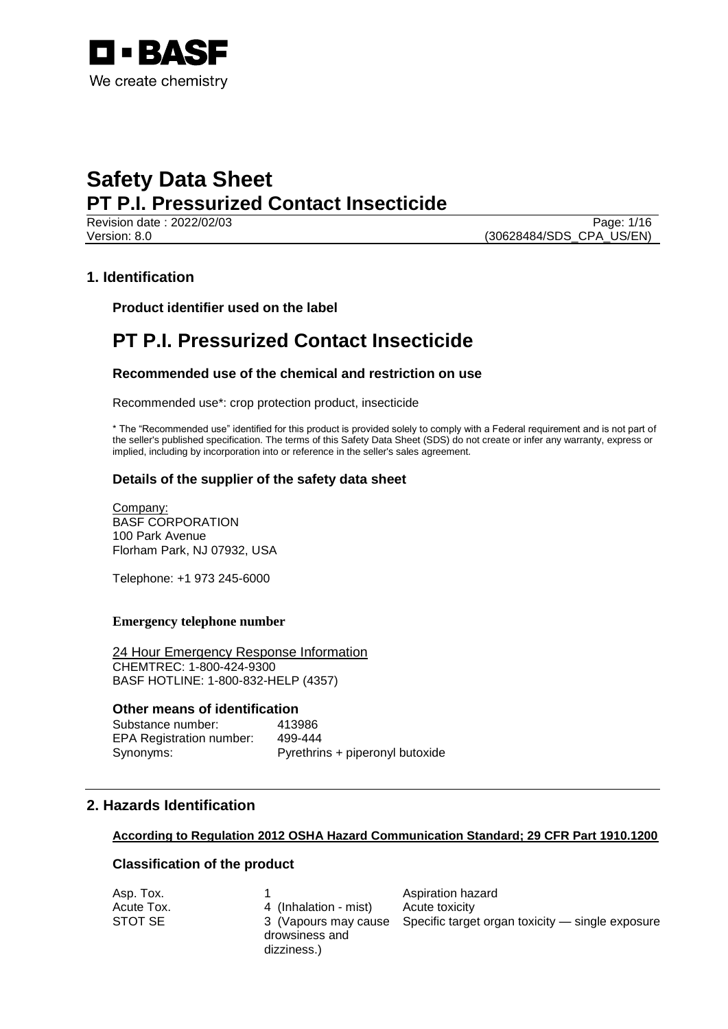

Revision date : 2022/02/03 Page: 1/16 Version: 8.0 (30628484/SDS\_CPA\_US/EN)

## **1. Identification**

**Product identifier used on the label**

## **PT P.I. Pressurized Contact Insecticide**

### **Recommended use of the chemical and restriction on use**

Recommended use\*: crop protection product, insecticide

\* The "Recommended use" identified for this product is provided solely to comply with a Federal requirement and is not part of the seller's published specification. The terms of this Safety Data Sheet (SDS) do not create or infer any warranty, express or implied, including by incorporation into or reference in the seller's sales agreement.

### **Details of the supplier of the safety data sheet**

Company: BASF CORPORATION 100 Park Avenue Florham Park, NJ 07932, USA

Telephone: +1 973 245-6000

#### **Emergency telephone number**

24 Hour Emergency Response Information CHEMTREC: 1-800-424-9300 BASF HOTLINE: 1-800-832-HELP (4357)

#### **Other means of identification**

Substance number: 413986 EPA Registration number: 499-444 Synonyms: Pyrethrins + piperonyl butoxide

## **2. Hazards Identification**

## **According to Regulation 2012 OSHA Hazard Communication Standard; 29 CFR Part 1910.1200**

### **Classification of the product**

| Asp. Tox.  |                               | Aspiration hazard                                                     |
|------------|-------------------------------|-----------------------------------------------------------------------|
| Acute Tox. | 4 (Inhalation - mist)         | Acute toxicity                                                        |
| STOT SE    | drowsiness and<br>dizziness.) | 3 (Vapours may cause Specific target organ toxicity — single exposure |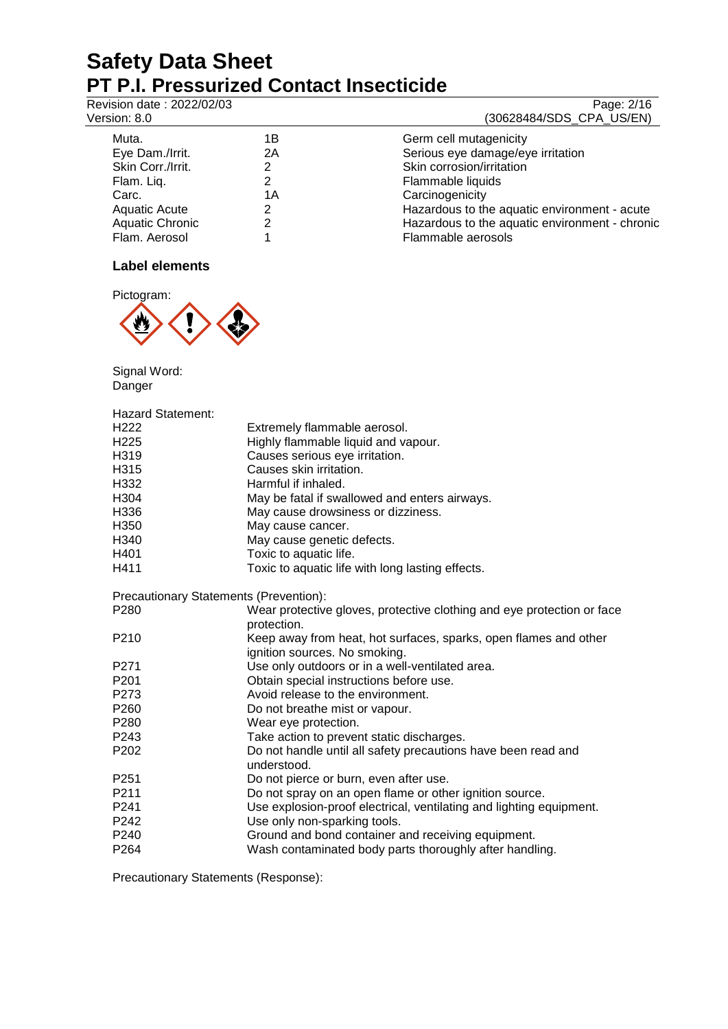Revision date : 2022/02/03 Page: 2/16<br>
Version: 8.0 (30628484/SDS\_CPA\_US/EN) (30628484/SDS\_CPA\_US/EN) Muta.<br>
1B Germ cell mutagenicity<br>
Eye Dam./Irrit.<br>
2A Gerious eye damage/ey Eye Dam./Irrit. 2A 2A Serious eye damage/eye irritation<br>Skin Corr./Irrit. 2 2 Skin corrosion/irritation Skin Corr./Irrit. 2 Skin corrosion/irritation Flam. Liq. 2 Flammable liquids Carc. 1A Carcinogenicity Aquatic Acute 2<br>Aquatic Chronic 2<br>Aquatic Chronic 2<br>Alexandous to the aquatic environment - chronic Aquatic Chronic 2<br>
Flame Aerosol 2<br>
Hazardous to the aquatic environment - chronic<br>
Flame Berosols Flammable aerosols

## **Label elements**

Pictogram:



Signal Word: Danger

| <b>Hazard Statement:</b>               |                                                                        |  |
|----------------------------------------|------------------------------------------------------------------------|--|
| H <sub>222</sub>                       | Extremely flammable aerosol.                                           |  |
| H <sub>225</sub>                       | Highly flammable liquid and vapour.                                    |  |
| H319                                   | Causes serious eye irritation.                                         |  |
| H315                                   | Causes skin irritation.                                                |  |
| H332                                   | Harmful if inhaled.                                                    |  |
| H304                                   | May be fatal if swallowed and enters airways.                          |  |
| H336                                   | May cause drowsiness or dizziness.                                     |  |
| H350                                   | May cause cancer.                                                      |  |
| H340                                   | May cause genetic defects.                                             |  |
| H401                                   | Toxic to aquatic life.                                                 |  |
| H411                                   | Toxic to aquatic life with long lasting effects.                       |  |
| Precautionary Statements (Prevention): |                                                                        |  |
| P <sub>280</sub>                       | Wear protective gloves, protective clothing and eye protection or face |  |
|                                        | protection.                                                            |  |
| P210                                   | Keep away from heat, hot surfaces, sparks, open flames and other       |  |
|                                        | ignition sources. No smoking.                                          |  |
| P <sub>271</sub>                       | Use only outdoors or in a well-ventilated area.                        |  |
| P <sub>201</sub>                       | Obtain special instructions before use.                                |  |
| P273                                   | Avoid release to the environment.                                      |  |
| P <sub>260</sub>                       | Do not breathe mist or vapour.                                         |  |
| P280                                   | Wear eye protection.                                                   |  |
| P <sub>243</sub>                       | Take action to prevent static discharges.                              |  |
| P <sub>202</sub>                       | Do not handle until all safety precautions have been read and          |  |
|                                        | understood.                                                            |  |
| P <sub>251</sub>                       | Do not pierce or burn, even after use.                                 |  |
| P211                                   | Do not spray on an open flame or other ignition source.                |  |
| P241                                   | Use explosion-proof electrical, ventilating and lighting equipment.    |  |
| P242                                   | Use only non-sparking tools.                                           |  |
| P240                                   | Ground and bond container and receiving equipment.                     |  |
| P <sub>264</sub>                       | Wash contaminated body parts thoroughly after handling.                |  |

Precautionary Statements (Response):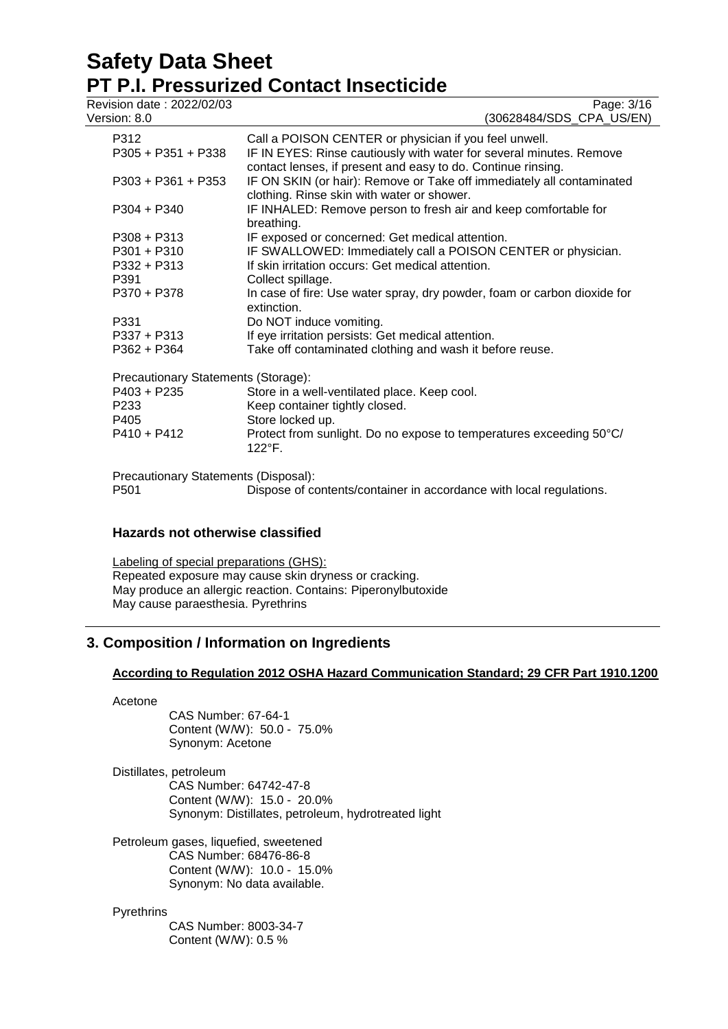# **Safety Data Sheet**

| Revision date: 2022/02/03<br>Version: 8.0 | Page: 3/16<br>(30628484/SDS_CPA_US/EN)                                                                                              |
|-------------------------------------------|-------------------------------------------------------------------------------------------------------------------------------------|
|                                           |                                                                                                                                     |
| P312                                      | Call a POISON CENTER or physician if you feel unwell.                                                                               |
| $P305 + P351 + P338$                      | IF IN EYES: Rinse cautiously with water for several minutes. Remove<br>contact lenses, if present and easy to do. Continue rinsing. |
| $P303 + P361 + P353$                      | IF ON SKIN (or hair): Remove or Take off immediately all contaminated<br>clothing. Rinse skin with water or shower.                 |
| $P304 + P340$                             | IF INHALED: Remove person to fresh air and keep comfortable for<br>breathing.                                                       |
| $P308 + P313$                             | IF exposed or concerned: Get medical attention.                                                                                     |
| $P301 + P310$                             | IF SWALLOWED: Immediately call a POISON CENTER or physician.                                                                        |
| $P332 + P313$                             | If skin irritation occurs: Get medical attention.                                                                                   |
| P391                                      | Collect spillage.                                                                                                                   |
| P370 + P378                               | In case of fire: Use water spray, dry powder, foam or carbon dioxide for<br>extinction.                                             |
| P331                                      | Do NOT induce vomiting.                                                                                                             |
| $P337 + P313$                             | If eye irritation persists: Get medical attention.                                                                                  |
| $P362 + P364$                             | Take off contaminated clothing and wash it before reuse.                                                                            |
| Precautionary Statements (Storage):       |                                                                                                                                     |
| $P403 + P235$                             | Store in a well-ventilated place. Keep cool.                                                                                        |
| P <sub>233</sub>                          | Keep container tightly closed.                                                                                                      |
| P405                                      | Store locked up.                                                                                                                    |
| $P410 + P412$                             | Protect from sunlight. Do no expose to temperatures exceeding 50°C/<br>122°F.                                                       |
| Precautionary Statements (Disposal):      |                                                                                                                                     |
| P <sub>501</sub>                          | Dispose of contents/container in accordance with local regulations.                                                                 |

## **Hazards not otherwise classified**

Labeling of special preparations (GHS): Repeated exposure may cause skin dryness or cracking. May produce an allergic reaction. Contains: Piperonylbutoxide May cause paraesthesia. Pyrethrins

## **3. Composition / Information on Ingredients**

### **According to Regulation 2012 OSHA Hazard Communication Standard; 29 CFR Part 1910.1200**

Acetone

CAS Number: 67-64-1 Content (W/W): 50.0 - 75.0% Synonym: Acetone

Distillates, petroleum CAS Number: 64742-47-8 Content (W/W): 15.0 - 20.0% Synonym: Distillates, petroleum, hydrotreated light

Petroleum gases, liquefied, sweetened CAS Number: 68476-86-8 Content (W/W): 10.0 - 15.0% Synonym: No data available.

**Pyrethrins** 

CAS Number: 8003-34-7 Content (W/W): 0.5 %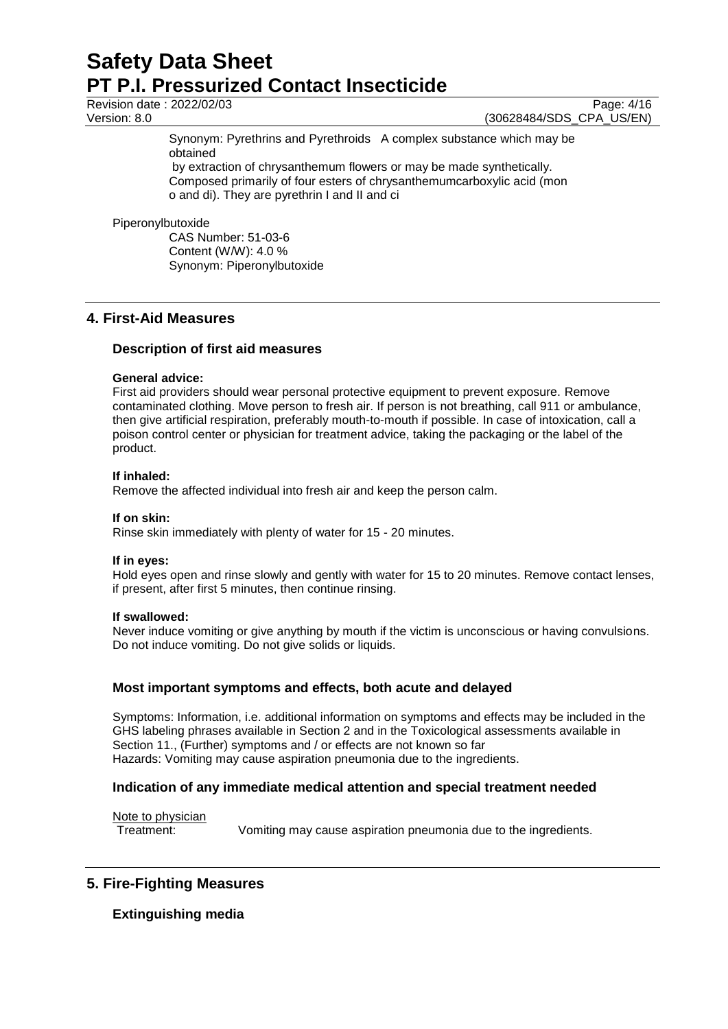Revision date : 2022/02/03 Page: 4/16<br>
Version: 8.0 (30628484/SDS CPA US/EN)

(30628484/SDS\_CPA\_US/EN)

Synonym: Pyrethrins and Pyrethroids A complex substance which may be obtained

by extraction of chrysanthemum flowers or may be made synthetically. Composed primarily of four esters of chrysanthemumcarboxylic acid (mon o and di). They are pyrethrin I and II and ci

#### Piperonylbutoxide

CAS Number: 51-03-6 Content (W/W): 4.0 % Synonym: Piperonylbutoxide

## **4. First-Aid Measures**

## **Description of first aid measures**

#### **General advice:**

First aid providers should wear personal protective equipment to prevent exposure. Remove contaminated clothing. Move person to fresh air. If person is not breathing, call 911 or ambulance, then give artificial respiration, preferably mouth-to-mouth if possible. In case of intoxication, call a poison control center or physician for treatment advice, taking the packaging or the label of the product.

#### **If inhaled:**

Remove the affected individual into fresh air and keep the person calm.

#### **If on skin:**

Rinse skin immediately with plenty of water for 15 - 20 minutes.

#### **If in eyes:**

Hold eyes open and rinse slowly and gently with water for 15 to 20 minutes. Remove contact lenses, if present, after first 5 minutes, then continue rinsing.

### **If swallowed:**

Never induce vomiting or give anything by mouth if the victim is unconscious or having convulsions. Do not induce vomiting. Do not give solids or liquids.

### **Most important symptoms and effects, both acute and delayed**

Symptoms: Information, i.e. additional information on symptoms and effects may be included in the GHS labeling phrases available in Section 2 and in the Toxicological assessments available in Section 11., (Further) symptoms and / or effects are not known so far Hazards: Vomiting may cause aspiration pneumonia due to the ingredients.

## **Indication of any immediate medical attention and special treatment needed**

Note to physician Treatment: Vomiting may cause aspiration pneumonia due to the ingredients.

## **5. Fire-Fighting Measures**

## **Extinguishing media**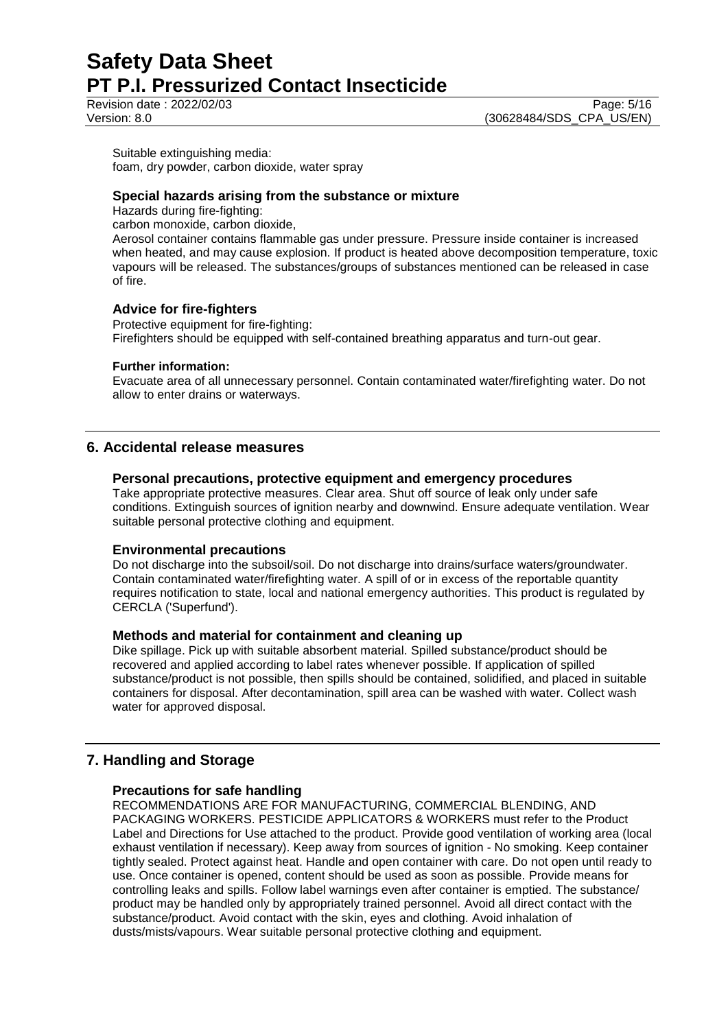Suitable extinguishing media: foam, dry powder, carbon dioxide, water spray

## **Special hazards arising from the substance or mixture**

Hazards during fire-fighting:

carbon monoxide, carbon dioxide,

Aerosol container contains flammable gas under pressure. Pressure inside container is increased when heated, and may cause explosion. If product is heated above decomposition temperature, toxic vapours will be released. The substances/groups of substances mentioned can be released in case of fire.

## **Advice for fire-fighters**

Protective equipment for fire-fighting: Firefighters should be equipped with self-contained breathing apparatus and turn-out gear.

#### **Further information:**

Evacuate area of all unnecessary personnel. Contain contaminated water/firefighting water. Do not allow to enter drains or waterways.

## **6. Accidental release measures**

### **Personal precautions, protective equipment and emergency procedures**

Take appropriate protective measures. Clear area. Shut off source of leak only under safe conditions. Extinguish sources of ignition nearby and downwind. Ensure adequate ventilation. Wear suitable personal protective clothing and equipment.

### **Environmental precautions**

Do not discharge into the subsoil/soil. Do not discharge into drains/surface waters/groundwater. Contain contaminated water/firefighting water. A spill of or in excess of the reportable quantity requires notification to state, local and national emergency authorities. This product is regulated by CERCLA ('Superfund').

### **Methods and material for containment and cleaning up**

Dike spillage. Pick up with suitable absorbent material. Spilled substance/product should be recovered and applied according to label rates whenever possible. If application of spilled substance/product is not possible, then spills should be contained, solidified, and placed in suitable containers for disposal. After decontamination, spill area can be washed with water. Collect wash water for approved disposal.

## **7. Handling and Storage**

### **Precautions for safe handling**

RECOMMENDATIONS ARE FOR MANUFACTURING, COMMERCIAL BLENDING, AND PACKAGING WORKERS. PESTICIDE APPLICATORS & WORKERS must refer to the Product Label and Directions for Use attached to the product. Provide good ventilation of working area (local exhaust ventilation if necessary). Keep away from sources of ignition - No smoking. Keep container tightly sealed. Protect against heat. Handle and open container with care. Do not open until ready to use. Once container is opened, content should be used as soon as possible. Provide means for controlling leaks and spills. Follow label warnings even after container is emptied. The substance/ product may be handled only by appropriately trained personnel. Avoid all direct contact with the substance/product. Avoid contact with the skin, eyes and clothing. Avoid inhalation of dusts/mists/vapours. Wear suitable personal protective clothing and equipment.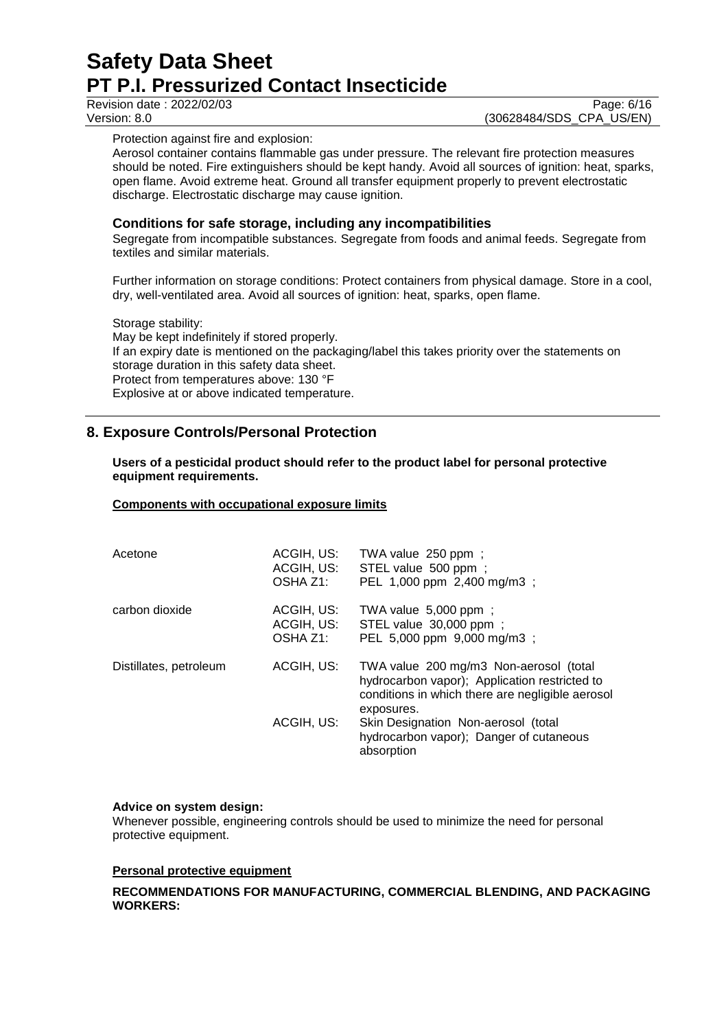Revision date : 2022/02/03 Page: 6/16<br>
Version: 8.0 (30628484/SDS CPA US/EN) (30628484/SDS\_CPA\_US/EN)

Protection against fire and explosion:

Aerosol container contains flammable gas under pressure. The relevant fire protection measures should be noted. Fire extinguishers should be kept handy. Avoid all sources of ignition: heat, sparks, open flame. Avoid extreme heat. Ground all transfer equipment properly to prevent electrostatic discharge. Electrostatic discharge may cause ignition.

## **Conditions for safe storage, including any incompatibilities**

Segregate from incompatible substances. Segregate from foods and animal feeds. Segregate from textiles and similar materials.

Further information on storage conditions: Protect containers from physical damage. Store in a cool, dry, well-ventilated area. Avoid all sources of ignition: heat, sparks, open flame.

Storage stability: May be kept indefinitely if stored properly. If an expiry date is mentioned on the packaging/label this takes priority over the statements on storage duration in this safety data sheet. Protect from temperatures above: 130 °F Explosive at or above indicated temperature.

## **8. Exposure Controls/Personal Protection**

**Users of a pesticidal product should refer to the product label for personal protective equipment requirements.**

**Components with occupational exposure limits**

| Acetone                | ACGIH, US:<br>ACGIH, US:<br>OSHA Z1: | TWA value 250 ppm;<br>STEL value 500 ppm ;<br>PEL 1,000 ppm 2,400 mg/m3;                                                                                  |
|------------------------|--------------------------------------|-----------------------------------------------------------------------------------------------------------------------------------------------------------|
| carbon dioxide         | ACGIH, US:<br>ACGIH, US:<br>OSHA Z1: | TWA value $5,000$ ppm :<br>STEL value 30,000 ppm ;<br>PEL 5,000 ppm 9,000 mg/m3 ;                                                                         |
| Distillates, petroleum | ACGIH, US:                           | TWA value 200 mg/m3 Non-aerosol (total<br>hydrocarbon vapor); Application restricted to<br>conditions in which there are negligible aerosol<br>exposures. |
|                        | ACGIH, US:                           | Skin Designation Non-aerosol (total<br>hydrocarbon vapor); Danger of cutaneous<br>absorption                                                              |

### **Advice on system design:**

Whenever possible, engineering controls should be used to minimize the need for personal protective equipment.

### **Personal protective equipment**

### **RECOMMENDATIONS FOR MANUFACTURING, COMMERCIAL BLENDING, AND PACKAGING WORKERS:**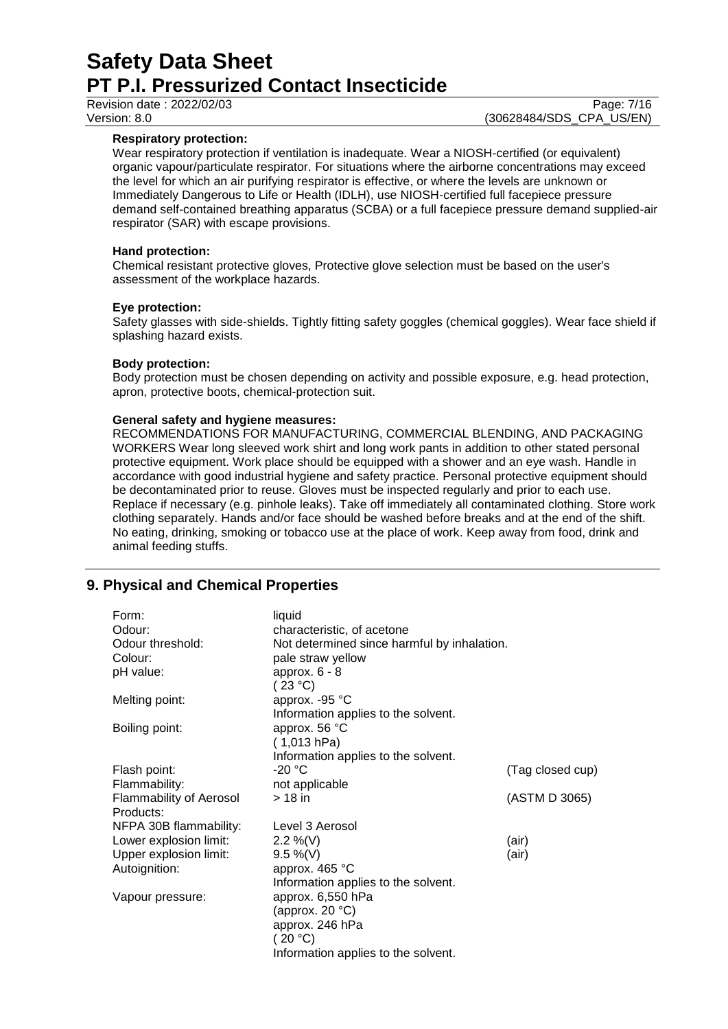#### **Respiratory protection:**

Wear respiratory protection if ventilation is inadequate. Wear a NIOSH-certified (or equivalent) organic vapour/particulate respirator. For situations where the airborne concentrations may exceed the level for which an air purifying respirator is effective, or where the levels are unknown or Immediately Dangerous to Life or Health (IDLH), use NIOSH-certified full facepiece pressure demand self-contained breathing apparatus (SCBA) or a full facepiece pressure demand supplied-air respirator (SAR) with escape provisions.

#### **Hand protection:**

Chemical resistant protective gloves, Protective glove selection must be based on the user's assessment of the workplace hazards.

#### **Eye protection:**

Safety glasses with side-shields. Tightly fitting safety goggles (chemical goggles). Wear face shield if splashing hazard exists.

#### **Body protection:**

Body protection must be chosen depending on activity and possible exposure, e.g. head protection, apron, protective boots, chemical-protection suit.

#### **General safety and hygiene measures:**

RECOMMENDATIONS FOR MANUFACTURING, COMMERCIAL BLENDING, AND PACKAGING WORKERS Wear long sleeved work shirt and long work pants in addition to other stated personal protective equipment. Work place should be equipped with a shower and an eye wash. Handle in accordance with good industrial hygiene and safety practice. Personal protective equipment should be decontaminated prior to reuse. Gloves must be inspected regularly and prior to each use. Replace if necessary (e.g. pinhole leaks). Take off immediately all contaminated clothing. Store work clothing separately. Hands and/or face should be washed before breaks and at the end of the shift. No eating, drinking, smoking or tobacco use at the place of work. Keep away from food, drink and animal feeding stuffs.

## **9. Physical and Chemical Properties**

| Form:<br>Odour:                | liquid<br>characteristic, of acetone        |                  |
|--------------------------------|---------------------------------------------|------------------|
| Odour threshold:               | Not determined since harmful by inhalation. |                  |
| Colour:                        | pale straw yellow                           |                  |
|                                | approx. $6 - 8$                             |                  |
| pH value:                      |                                             |                  |
|                                | (23 °C)                                     |                  |
| Melting point:                 | approx. -95 °C                              |                  |
|                                | Information applies to the solvent.         |                  |
| Boiling point:                 | approx. 56 °C                               |                  |
|                                | (1,013 hPa)                                 |                  |
|                                | Information applies to the solvent.         |                  |
| Flash point:                   | $-20 °C$                                    | (Tag closed cup) |
| Flammability:                  | not applicable                              |                  |
| <b>Flammability of Aerosol</b> | $>18$ in                                    | (ASTM D 3065)    |
| Products:                      |                                             |                  |
| NFPA 30B flammability:         | Level 3 Aerosol                             |                  |
| Lower explosion limit:         | 2.2 %(V)                                    | (air)            |
| Upper explosion limit:         | $9.5 \%$ (V)                                | (air)            |
| Autoignition:                  | approx. 465 °C                              |                  |
|                                | Information applies to the solvent.         |                  |
|                                |                                             |                  |
| Vapour pressure:               | approx. 6,550 hPa                           |                  |
|                                | (approx. 20 $°C$ )                          |                  |
|                                | approx. 246 hPa                             |                  |
|                                | (20 °C)                                     |                  |
|                                | Information applies to the solvent.         |                  |

Revision date : 2022/02/03 Page: 7/16<br>Version: 8.0 (30628484/SDS CPA US/EN) (30628484/SDS\_CPA\_US/EN)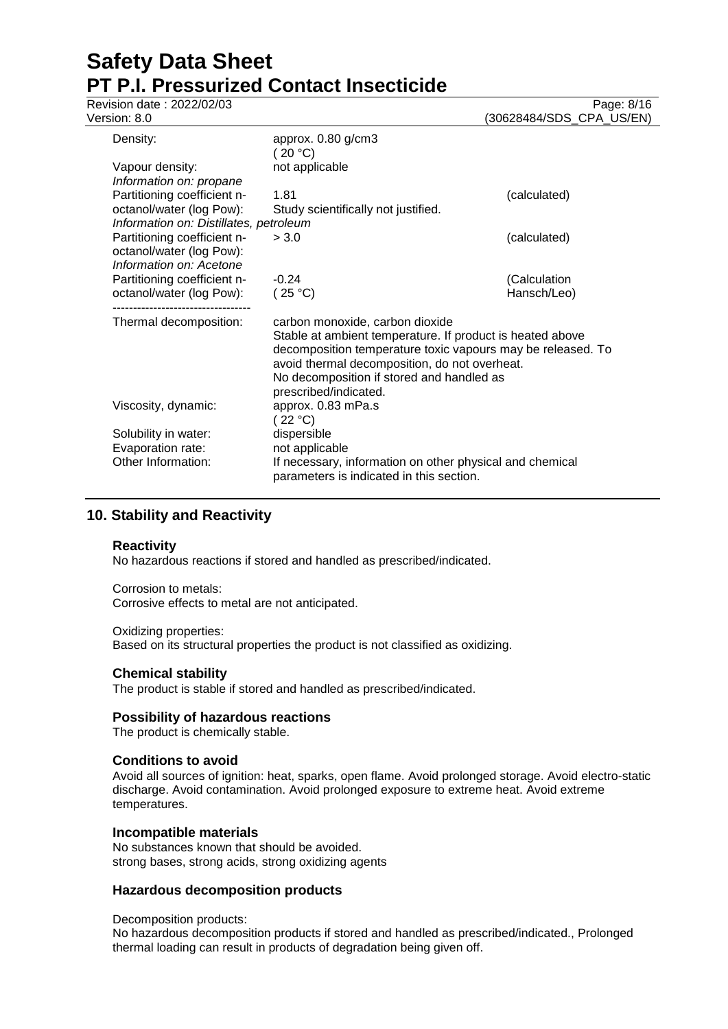Page: 8/16

| Version: 8.0                                                                                      |                                                                                                                                                                                                                                                                                    | 30628484/SDS_CPA_US/EN)     |
|---------------------------------------------------------------------------------------------------|------------------------------------------------------------------------------------------------------------------------------------------------------------------------------------------------------------------------------------------------------------------------------------|-----------------------------|
| Density:                                                                                          | approx. 0.80 g/cm3<br>(20 °C)                                                                                                                                                                                                                                                      |                             |
| Vapour density:<br>Information on: propane                                                        | not applicable                                                                                                                                                                                                                                                                     |                             |
| Partitioning coefficient n-<br>octanol/water (log Pow):<br>Information on: Distillates, petroleum | 1.81<br>Study scientifically not justified.                                                                                                                                                                                                                                        | (calculated)                |
| Partitioning coefficient n-<br>octanol/water (log Pow):<br>Information on: Acetone                | > 3.0                                                                                                                                                                                                                                                                              | (calculated)                |
| Partitioning coefficient n-<br>octanol/water (log Pow):                                           | -0.24<br>(25 °C)                                                                                                                                                                                                                                                                   | (Calculation<br>Hansch/Leo) |
| Thermal decomposition:                                                                            | carbon monoxide, carbon dioxide<br>Stable at ambient temperature. If product is heated above<br>decomposition temperature toxic vapours may be released. To<br>avoid thermal decomposition, do not overheat.<br>No decomposition if stored and handled as<br>prescribed/indicated. |                             |
| Viscosity, dynamic:                                                                               | approx. 0.83 mPa.s<br>22 °C                                                                                                                                                                                                                                                        |                             |
| Solubility in water:<br>Evaporation rate:<br>Other Information:                                   | dispersible<br>not applicable<br>If necessary, information on other physical and chemical                                                                                                                                                                                          |                             |
|                                                                                                   | parameters is indicated in this section.                                                                                                                                                                                                                                           |                             |

## **10. Stability and Reactivity**

#### **Reactivity**

No hazardous reactions if stored and handled as prescribed/indicated.

#### Corrosion to metals:

Corrosive effects to metal are not anticipated.

#### Oxidizing properties:

Based on its structural properties the product is not classified as oxidizing.

#### **Chemical stability**

The product is stable if stored and handled as prescribed/indicated.

#### **Possibility of hazardous reactions**

The product is chemically stable.

#### **Conditions to avoid**

Avoid all sources of ignition: heat, sparks, open flame. Avoid prolonged storage. Avoid electro-static discharge. Avoid contamination. Avoid prolonged exposure to extreme heat. Avoid extreme temperatures.

#### **Incompatible materials**

No substances known that should be avoided. strong bases, strong acids, strong oxidizing agents

#### **Hazardous decomposition products**

Decomposition products:

No hazardous decomposition products if stored and handled as prescribed/indicated., Prolonged thermal loading can result in products of degradation being given off.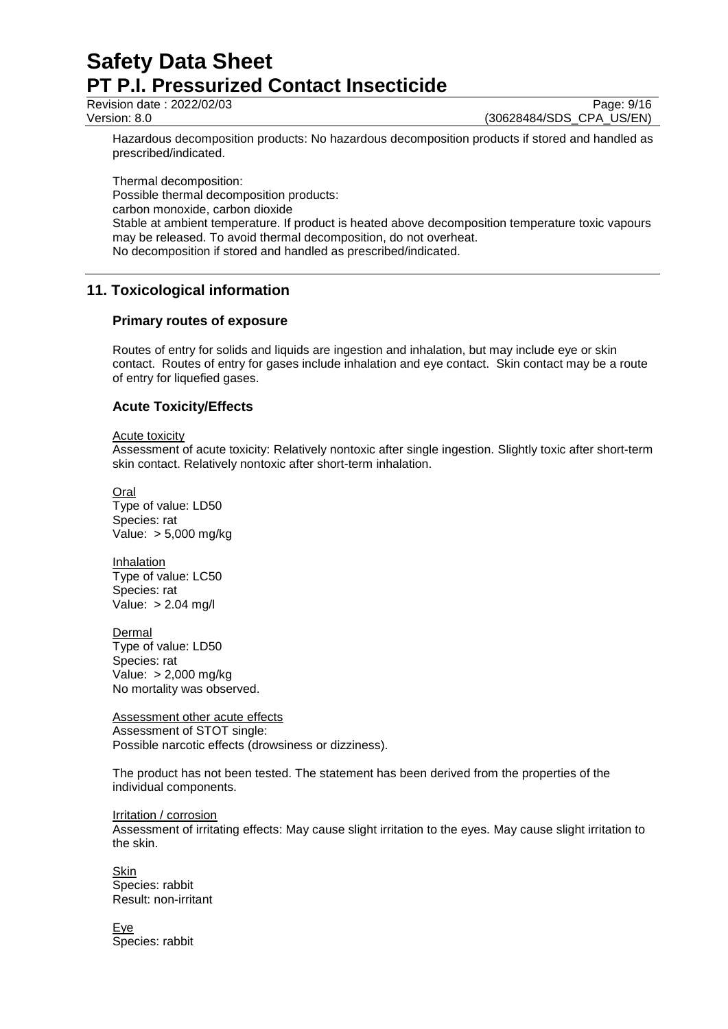Revision date : 2022/02/03 Page: 9/16<br>
Version: 8.0 (30628484/SDS CPA US/EN)

(30628484/SDS CPA US/EN)

Hazardous decomposition products: No hazardous decomposition products if stored and handled as prescribed/indicated.

Thermal decomposition: Possible thermal decomposition products: carbon monoxide, carbon dioxide Stable at ambient temperature. If product is heated above decomposition temperature toxic vapours may be released. To avoid thermal decomposition, do not overheat. No decomposition if stored and handled as prescribed/indicated.

## **11. Toxicological information**

### **Primary routes of exposure**

Routes of entry for solids and liquids are ingestion and inhalation, but may include eye or skin contact. Routes of entry for gases include inhalation and eye contact. Skin contact may be a route of entry for liquefied gases.

## **Acute Toxicity/Effects**

#### Acute toxicity

Assessment of acute toxicity: Relatively nontoxic after single ingestion. Slightly toxic after short-term skin contact. Relatively nontoxic after short-term inhalation.

Oral Type of value: LD50 Species: rat Value: > 5,000 mg/kg

Inhalation Type of value: LC50 Species: rat Value: > 2.04 mg/l

**Dermal** Type of value: LD50 Species: rat Value: > 2,000 mg/kg No mortality was observed.

Assessment other acute effects Assessment of STOT single: Possible narcotic effects (drowsiness or dizziness).

The product has not been tested. The statement has been derived from the properties of the individual components.

Irritation / corrosion Assessment of irritating effects: May cause slight irritation to the eyes. May cause slight irritation to

Skin Species: rabbit Result: non-irritant

the skin.

Eye Species: rabbit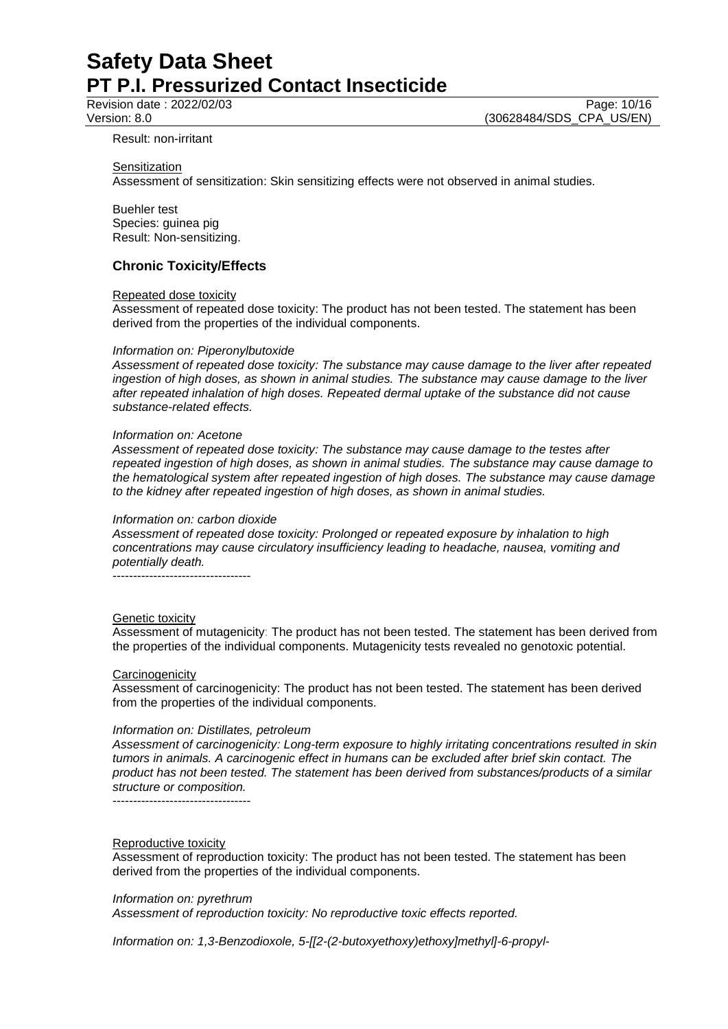Revision date : 2022/02/03 Page: 10/16<br>Version: 8.0 (30628484/SDS CPA US/EN) (30628484/SDS\_CPA\_US/EN)

Result: non-irritant

#### **Sensitization**

Assessment of sensitization: Skin sensitizing effects were not observed in animal studies.

Buehler test Species: guinea pig Result: Non-sensitizing.

## **Chronic Toxicity/Effects**

#### Repeated dose toxicity

Assessment of repeated dose toxicity: The product has not been tested. The statement has been derived from the properties of the individual components.

#### *Information on: Piperonylbutoxide*

*Assessment of repeated dose toxicity: The substance may cause damage to the liver after repeated ingestion of high doses, as shown in animal studies. The substance may cause damage to the liver after repeated inhalation of high doses. Repeated dermal uptake of the substance did not cause substance-related effects.*

#### *Information on: Acetone*

*Assessment of repeated dose toxicity: The substance may cause damage to the testes after repeated ingestion of high doses, as shown in animal studies. The substance may cause damage to the hematological system after repeated ingestion of high doses. The substance may cause damage to the kidney after repeated ingestion of high doses, as shown in animal studies.*

#### *Information on: carbon dioxide*

*Assessment of repeated dose toxicity: Prolonged or repeated exposure by inhalation to high concentrations may cause circulatory insufficiency leading to headache, nausea, vomiting and potentially death.*

----------------------------------

#### Genetic toxicity

Assessment of mutagenicity: The product has not been tested. The statement has been derived from the properties of the individual components. Mutagenicity tests revealed no genotoxic potential.

#### **Carcinogenicity**

Assessment of carcinogenicity: The product has not been tested. The statement has been derived from the properties of the individual components.

#### *Information on: Distillates, petroleum*

*Assessment of carcinogenicity: Long-term exposure to highly irritating concentrations resulted in skin tumors in animals. A carcinogenic effect in humans can be excluded after brief skin contact. The product has not been tested. The statement has been derived from substances/products of a similar structure or composition.*

----------------------------------

#### Reproductive toxicity

Assessment of reproduction toxicity: The product has not been tested. The statement has been derived from the properties of the individual components.

#### *Information on: pyrethrum*

*Assessment of reproduction toxicity: No reproductive toxic effects reported.*

*Information on: 1,3-Benzodioxole, 5-[[2-(2-butoxyethoxy)ethoxy]methyl]-6-propyl-*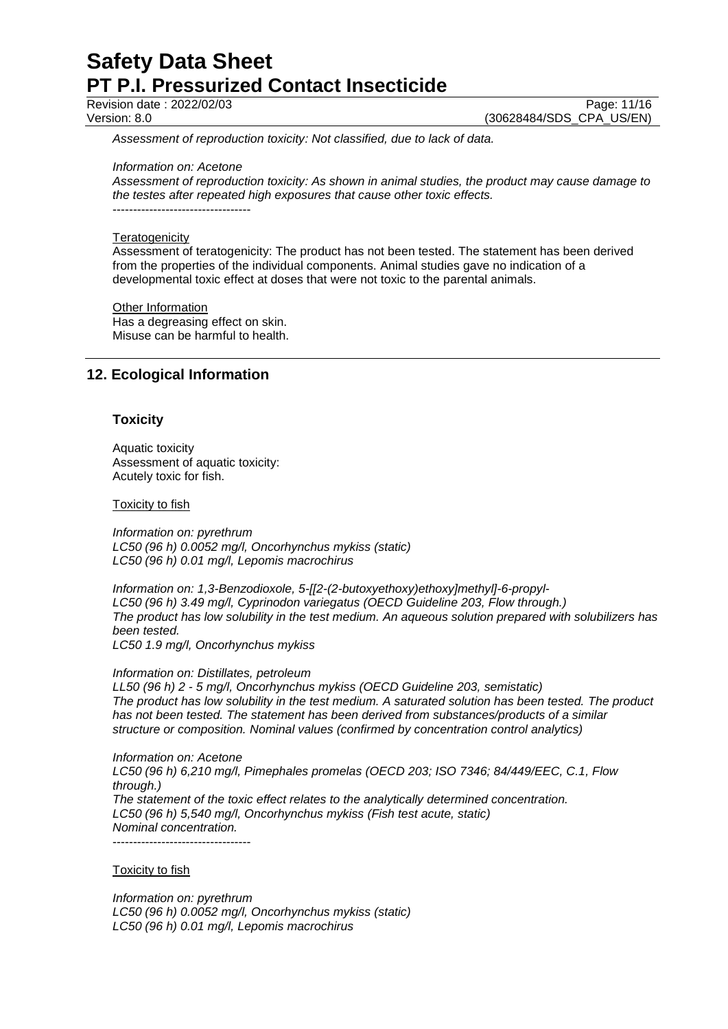Revision date : 2022/02/03 Page: 11/16<br>Version: 8.0 (30628484/SDS CPA US/EN) (30628484/SDS\_CPA\_US/EN)

*Assessment of reproduction toxicity: Not classified, due to lack of data.*

#### *Information on: Acetone*

*Assessment of reproduction toxicity: As shown in animal studies, the product may cause damage to the testes after repeated high exposures that cause other toxic effects.* ----------------------------------

#### **Teratogenicity**

Assessment of teratogenicity: The product has not been tested. The statement has been derived from the properties of the individual components. Animal studies gave no indication of a developmental toxic effect at doses that were not toxic to the parental animals.

## **Other Information**

Has a degreasing effect on skin. Misuse can be harmful to health.

## **12. Ecological Information**

#### **Toxicity**

Aquatic toxicity Assessment of aquatic toxicity: Acutely toxic for fish.

#### Toxicity to fish

*Information on: pyrethrum LC50 (96 h) 0.0052 mg/l, Oncorhynchus mykiss (static) LC50 (96 h) 0.01 mg/l, Lepomis macrochirus*

*Information on: 1,3-Benzodioxole, 5-[[2-(2-butoxyethoxy)ethoxy]methyl]-6-propyl-LC50 (96 h) 3.49 mg/l, Cyprinodon variegatus (OECD Guideline 203, Flow through.) The product has low solubility in the test medium. An aqueous solution prepared with solubilizers has been tested. LC50 1.9 mg/l, Oncorhynchus mykiss*

*Information on: Distillates, petroleum*

*LL50 (96 h) 2 - 5 mg/l, Oncorhynchus mykiss (OECD Guideline 203, semistatic) The product has low solubility in the test medium. A saturated solution has been tested. The product has not been tested. The statement has been derived from substances/products of a similar structure or composition. Nominal values (confirmed by concentration control analytics)*

*Information on: Acetone LC50 (96 h) 6,210 mg/l, Pimephales promelas (OECD 203; ISO 7346; 84/449/EEC, C.1, Flow through.) The statement of the toxic effect relates to the analytically determined concentration. LC50 (96 h) 5,540 mg/l, Oncorhynchus mykiss (Fish test acute, static) Nominal concentration.* ----------------------------------

**Toxicity to fish** 

*Information on: pyrethrum LC50 (96 h) 0.0052 mg/l, Oncorhynchus mykiss (static) LC50 (96 h) 0.01 mg/l, Lepomis macrochirus*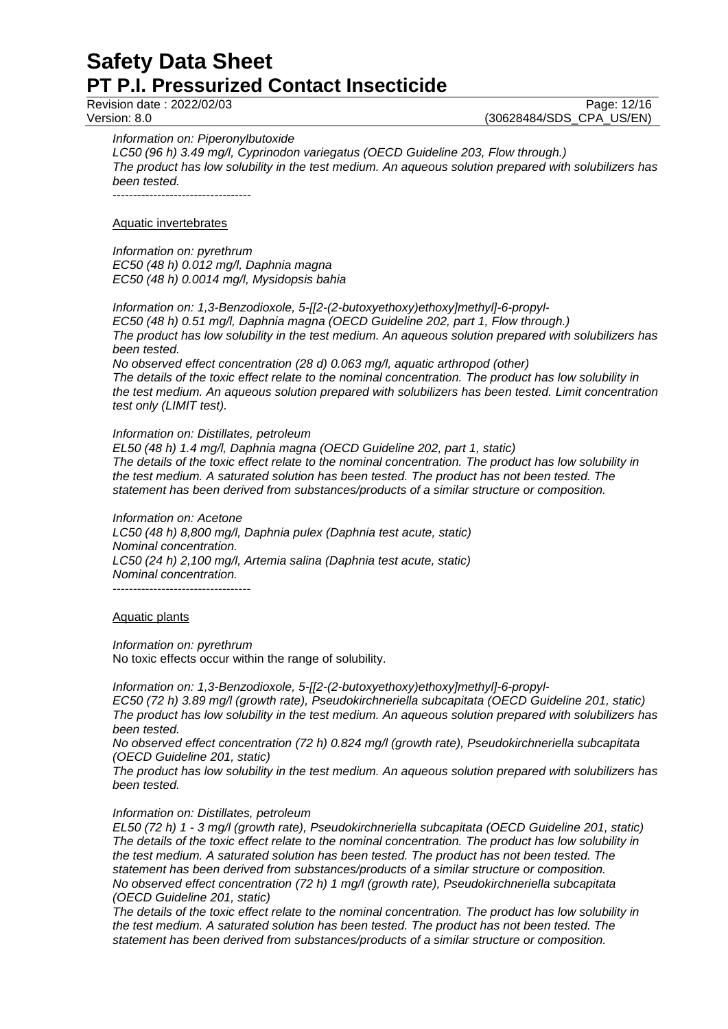Revision date : 2022/02/03 Page: 12/16<br>Version: 8.0 (30628484/SDS CPA US/EN) (30628484/SDS CPA US/EN)

*Information on: Piperonylbutoxide*

*LC50 (96 h) 3.49 mg/l, Cyprinodon variegatus (OECD Guideline 203, Flow through.) The product has low solubility in the test medium. An aqueous solution prepared with solubilizers has been tested.*

----------------------------------

#### Aquatic invertebrates

*Information on: pyrethrum EC50 (48 h) 0.012 mg/l, Daphnia magna EC50 (48 h) 0.0014 mg/l, Mysidopsis bahia*

*Information on: 1,3-Benzodioxole, 5-[[2-(2-butoxyethoxy)ethoxy]methyl]-6-propyl-EC50 (48 h) 0.51 mg/l, Daphnia magna (OECD Guideline 202, part 1, Flow through.) The product has low solubility in the test medium. An aqueous solution prepared with solubilizers has been tested. No observed effect concentration (28 d) 0.063 mg/l, aquatic arthropod (other)*

*The details of the toxic effect relate to the nominal concentration. The product has low solubility in the test medium. An aqueous solution prepared with solubilizers has been tested. Limit concentration test only (LIMIT test).*

#### *Information on: Distillates, petroleum*

*EL50 (48 h) 1.4 mg/l, Daphnia magna (OECD Guideline 202, part 1, static) The details of the toxic effect relate to the nominal concentration. The product has low solubility in the test medium. A saturated solution has been tested. The product has not been tested. The statement has been derived from substances/products of a similar structure or composition.*

*Information on: Acetone LC50 (48 h) 8,800 mg/l, Daphnia pulex (Daphnia test acute, static) Nominal concentration. LC50 (24 h) 2,100 mg/l, Artemia salina (Daphnia test acute, static) Nominal concentration.* ----------------------------------

#### Aquatic plants

*Information on: pyrethrum* No toxic effects occur within the range of solubility.

*Information on: 1,3-Benzodioxole, 5-[[2-(2-butoxyethoxy)ethoxy]methyl]-6-propyl-EC50 (72 h) 3.89 mg/l (growth rate), Pseudokirchneriella subcapitata (OECD Guideline 201, static) The product has low solubility in the test medium. An aqueous solution prepared with solubilizers has been tested.*

*No observed effect concentration (72 h) 0.824 mg/l (growth rate), Pseudokirchneriella subcapitata (OECD Guideline 201, static)*

*The product has low solubility in the test medium. An aqueous solution prepared with solubilizers has been tested.*

### *Information on: Distillates, petroleum*

*EL50 (72 h) 1 - 3 mg/l (growth rate), Pseudokirchneriella subcapitata (OECD Guideline 201, static) The details of the toxic effect relate to the nominal concentration. The product has low solubility in the test medium. A saturated solution has been tested. The product has not been tested. The statement has been derived from substances/products of a similar structure or composition. No observed effect concentration (72 h) 1 mg/l (growth rate), Pseudokirchneriella subcapitata (OECD Guideline 201, static)*

*The details of the toxic effect relate to the nominal concentration. The product has low solubility in the test medium. A saturated solution has been tested. The product has not been tested. The statement has been derived from substances/products of a similar structure or composition.*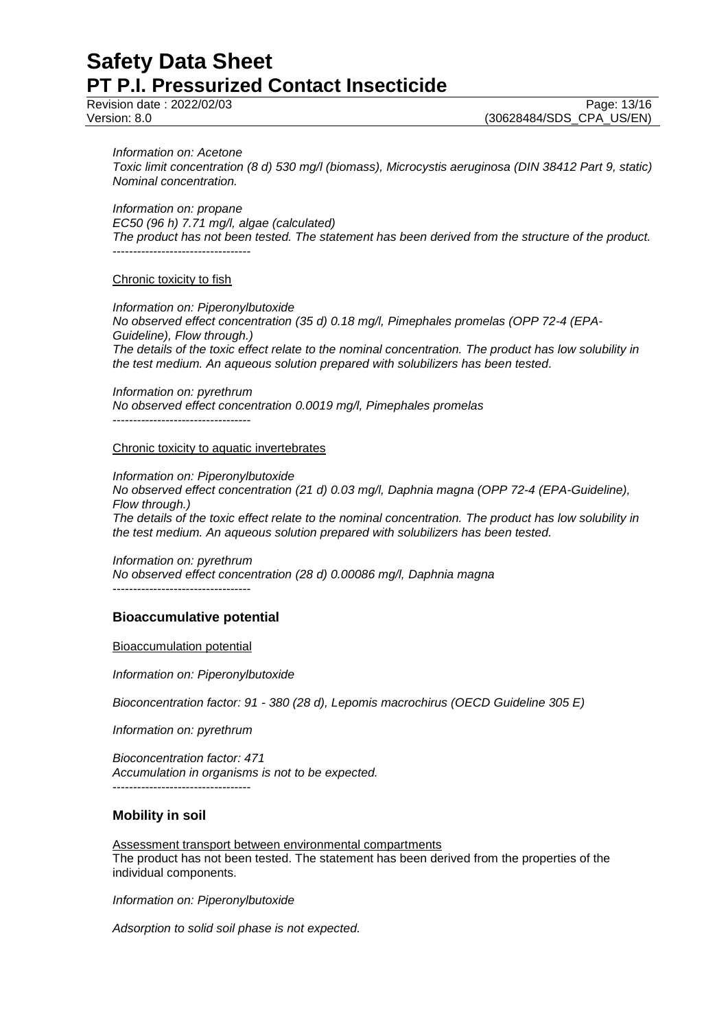Revision date : 2022/02/03 Page: 13/16<br>Version: 8.0 (30628484/SDS CPA US/EN) (30628484/SDS\_CPA\_US/EN)

*Information on: Acetone*

*Toxic limit concentration (8 d) 530 mg/l (biomass), Microcystis aeruginosa (DIN 38412 Part 9, static) Nominal concentration.*

*Information on: propane EC50 (96 h) 7.71 mg/l, algae (calculated) The product has not been tested. The statement has been derived from the structure of the product.* ----------------------------------

#### Chronic toxicity to fish

*Information on: Piperonylbutoxide No observed effect concentration (35 d) 0.18 mg/l, Pimephales promelas (OPP 72-4 (EPA-Guideline), Flow through.) The details of the toxic effect relate to the nominal concentration. The product has low solubility in the test medium. An aqueous solution prepared with solubilizers has been tested.*

*Information on: pyrethrum No observed effect concentration 0.0019 mg/l, Pimephales promelas*

----------------------------------

#### Chronic toxicity to aquatic invertebrates

*Information on: Piperonylbutoxide No observed effect concentration (21 d) 0.03 mg/l, Daphnia magna (OPP 72-4 (EPA-Guideline), Flow through.) The details of the toxic effect relate to the nominal concentration. The product has low solubility in the test medium. An aqueous solution prepared with solubilizers has been tested.*

*Information on: pyrethrum No observed effect concentration (28 d) 0.00086 mg/l, Daphnia magna* ----------------------------------

#### **Bioaccumulative potential**

#### Bioaccumulation potential

*Information on: Piperonylbutoxide*

*Bioconcentration factor: 91 - 380 (28 d), Lepomis macrochirus (OECD Guideline 305 E)*

*Information on: pyrethrum*

----------------------------------

*Bioconcentration factor: 471 Accumulation in organisms is not to be expected.*

#### **Mobility in soil**

Assessment transport between environmental compartments The product has not been tested. The statement has been derived from the properties of the individual components.

*Information on: Piperonylbutoxide*

*Adsorption to solid soil phase is not expected.*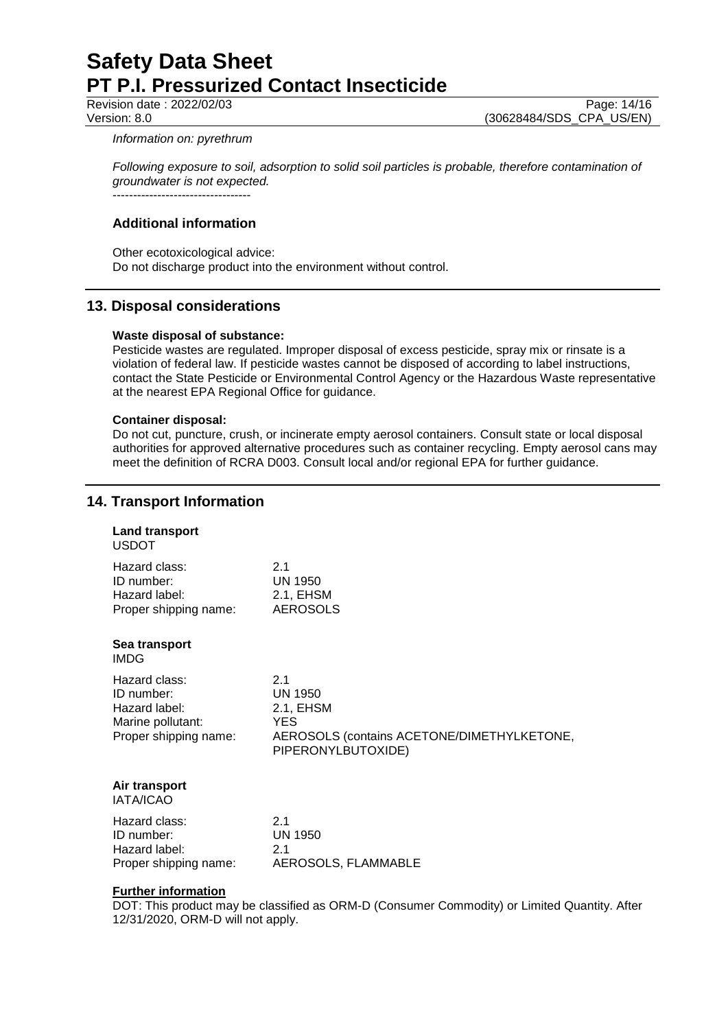Revision date : 2022/02/03 Page: 14/16<br>Version: 8.0 (30628484/SDS CPA US/EN) (30628484/SDS\_CPA\_US/EN)

*Information on: pyrethrum*

*Following exposure to soil, adsorption to solid soil particles is probable, therefore contamination of groundwater is not expected.*

----------------------------------

## **Additional information**

Other ecotoxicological advice: Do not discharge product into the environment without control.

## **13. Disposal considerations**

#### **Waste disposal of substance:**

Pesticide wastes are regulated. Improper disposal of excess pesticide, spray mix or rinsate is a violation of federal law. If pesticide wastes cannot be disposed of according to label instructions, contact the State Pesticide or Environmental Control Agency or the Hazardous Waste representative at the nearest EPA Regional Office for guidance.

#### **Container disposal:**

Do not cut, puncture, crush, or incinerate empty aerosol containers. Consult state or local disposal authorities for approved alternative procedures such as container recycling. Empty aerosol cans may meet the definition of RCRA D003. Consult local and/or regional EPA for further guidance.

## **14. Transport Information**

| <b>Land transport</b><br><b>USDOT</b>                                                      |                                                                                                                |
|--------------------------------------------------------------------------------------------|----------------------------------------------------------------------------------------------------------------|
| Hazard class:<br>ID number:<br>Hazard label:<br>Proper shipping name:                      | 2.1<br><b>UN 1950</b><br>2.1, EHSM<br><b>AEROSOLS</b>                                                          |
| Sea transport<br><b>IMDG</b>                                                               |                                                                                                                |
| Hazard class:<br>ID number:<br>Hazard label:<br>Marine pollutant:<br>Proper shipping name: | 2.1<br><b>UN 1950</b><br>2.1, EHSM<br>YES.<br>AEROSOLS (contains ACETONE/DIMETHYLKETONE,<br>PIPERONYLBUTOXIDE) |
| Air transport<br><b>IATA/ICAO</b>                                                          |                                                                                                                |
| Hazard class:<br>ID number:<br>Hazard label:<br>Proper shipping name:                      | 2.1<br><b>UN 1950</b><br>2.1<br>AEROSOLS, FLAMMABLE                                                            |

#### **Further information**

DOT: This product may be classified as ORM-D (Consumer Commodity) or Limited Quantity. After 12/31/2020, ORM-D will not apply.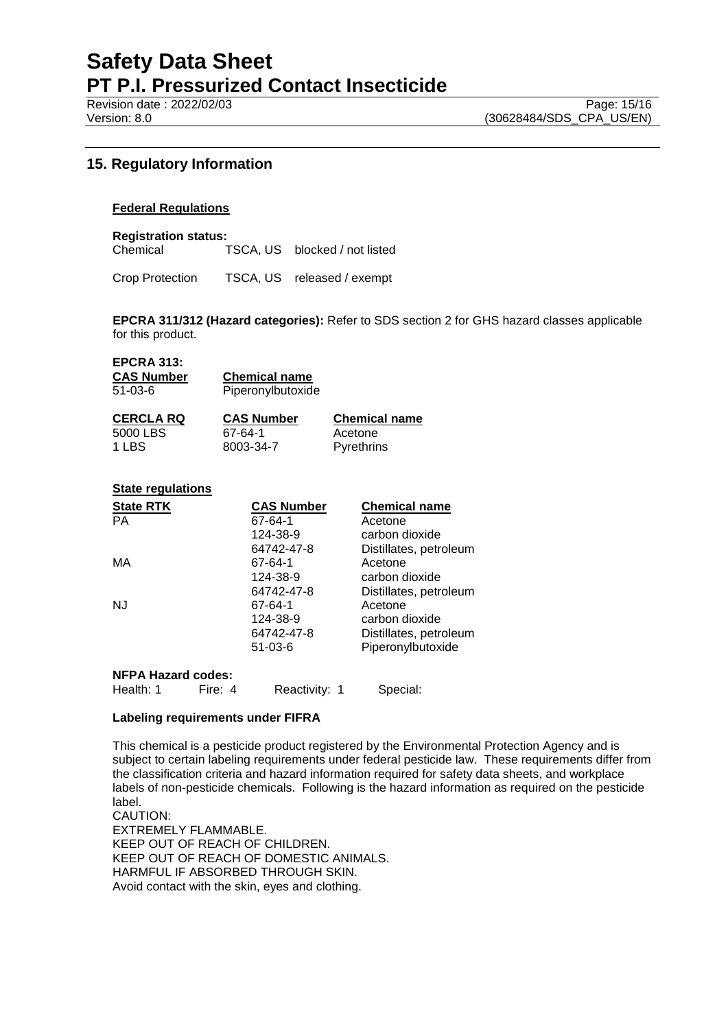## **15. Regulatory Information**

#### **Federal Regulations**

**Registration status:**

Chemical TSCA, US blocked / not listed

Crop Protection TSCA, US released / exempt

**EPCRA 311/312 (Hazard categories):** Refer to SDS section 2 for GHS hazard classes applicable for this product.

**EPCRA 313: CAS Number Chemical name**

51-03-6 Piperonylbutoxide

| <b>CERCLA RQ</b> | <b>CAS Number</b> | <b>Chemical name</b> |
|------------------|-------------------|----------------------|
| 5000 LBS         | 67-64-1           | Acetone              |
| 1 LBS            | 8003-34-7         | Pyrethrins           |

### **State regulations**

| <b>State RTK</b>          |         | <b>CAS Number</b> | <b>Chemical name</b>   |
|---------------------------|---------|-------------------|------------------------|
| PA                        |         | 67-64-1           | Acetone                |
|                           |         | 124-38-9          | carbon dioxide         |
|                           |         | 64742-47-8        | Distillates, petroleum |
| МA                        |         | 67-64-1           | Acetone                |
|                           |         | 124-38-9          | carbon dioxide         |
|                           |         | 64742-47-8        | Distillates, petroleum |
| NJ                        |         | 67-64-1           | Acetone                |
|                           |         | 124-38-9          | carbon dioxide         |
|                           |         | 64742-47-8        | Distillates, petroleum |
|                           |         | $51-03-6$         | Piperonylbutoxide      |
| <b>NFPA Hazard codes:</b> |         |                   |                        |
| Health: 1                 | Fire: 4 | Reactivity:       | Special:               |

#### **Labeling requirements under FIFRA**

This chemical is a pesticide product registered by the Environmental Protection Agency and is subject to certain labeling requirements under federal pesticide law. These requirements differ from the classification criteria and hazard information required for safety data sheets, and workplace labels of non-pesticide chemicals. Following is the hazard information as required on the pesticide label.

CAUTION: EXTREMELY FLAMMABLE. KEEP OUT OF REACH OF CHILDREN. KEEP OUT OF REACH OF DOMESTIC ANIMALS. HARMFUL IF ABSORBED THROUGH SKIN. Avoid contact with the skin, eyes and clothing.